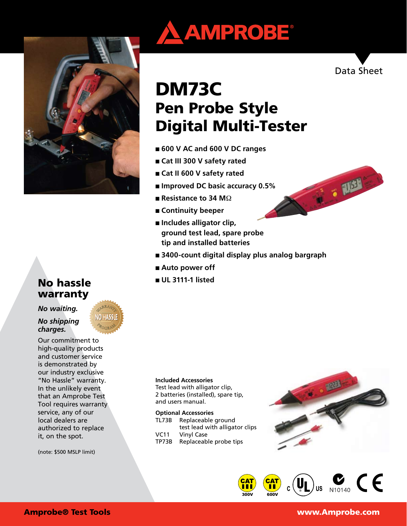

# No hassle warranty

*No waiting.* 

*No shipping charges.*

Our commitment to high-quality products and customer service is demonstrated by our industry exclusive "No Hassle" warranty. In the unlikely event that an Amprobe Test Tool requires warranty service, any of our local dealers are authorized to replace it, on the spot.

(note: \$500 MSLP limit)





IT & RIBA

# DM73C Pen Probe Style Digital Multi-Tester

- **600 V AC and 600 V DC ranges**
- **Cat III 300 V safety rated**
- **Cat II 600 V safety rated**
- **Improved DC basic accuracy 0.5%**
- **Resistance to 34 M** $\Omega$
- **Continuity beeper**
- **Includes alligator clip**, **ground test lead, spare probe tip and installed batteries**
- **3400-count digital display plus analog bargraph**
- Auto power off
- **UL 3111-1 listed**

#### **Included Accessories**

Test lead with alligator clip, 2 batteries (installed), spare tip, and users manual.

#### **Optional Accessories**

| TL73B        | Replaceable ground                       |  |
|--------------|------------------------------------------|--|
|              | test lead with alligator clips           |  |
| VC11         | Vinyl Case                               |  |
| <b>TDJ00</b> | Branche and all the concellence of the c |  |

TP73B Replaceable probe tips





# Amprobe® Test Tools www.Amprobe.com